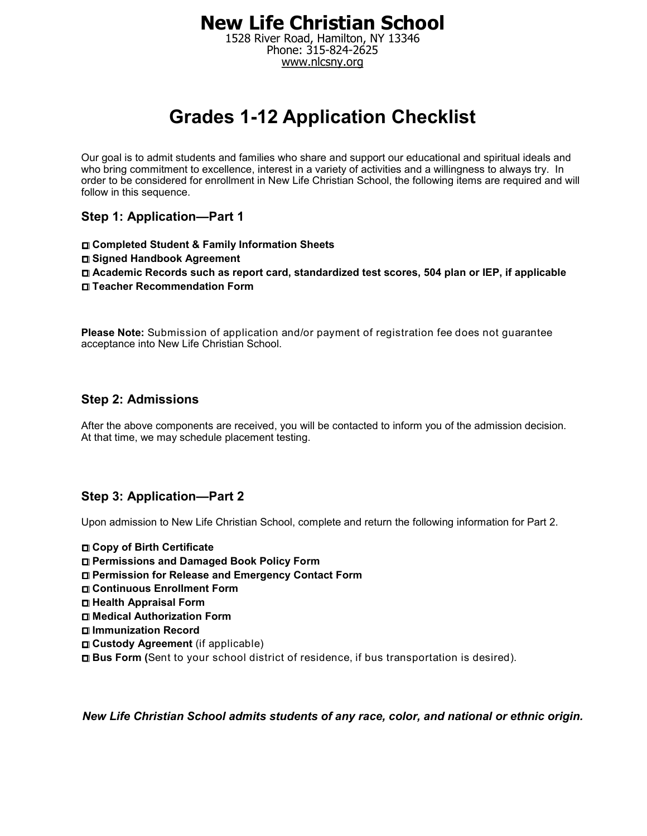1528 River Road, Hamilton, NY 13346 Phone: 315-824-2625 www.nlcsny.org

# **Grades 1-12 Application Checklist**

Our goal is to admit students and families who share and support our educational and spiritual ideals and who bring commitment to excellence, interest in a variety of activities and a willingness to always try. In order to be considered for enrollment in New Life Christian School, the following items are required and will follow in this sequence.

**Step 1: Application—Part 1** 

**Completed Student & Family Information Sheets Signed Handbook Agreement Academic Records such as report card, standardized test scores, 504 plan or IEP, if applicable Teacher Recommendation Form** 

**Please Note:** Submission of application and/or payment of registration fee does not guarantee acceptance into New Life Christian School.

#### **Step 2: Admissions**

After the above components are received, you will be contacted to inform you of the admission decision. At that time, we may schedule placement testing.

#### **Step 3: Application—Part 2**

Upon admission to New Life Christian School, complete and return the following information for Part 2.

**Copy of Birth Certificate Permissions and Damaged Book Policy Form Permission for Release and Emergency Contact Form Continuous Enrollment Form Health Appraisal Form Medical Authorization Form Immunization Record Custody Agreement** (if applicable) **Bus Form (**Sent to your school district of residence, if bus transportation is desired).

*New Life Christian School admits students of any race, color, and national or ethnic origin.*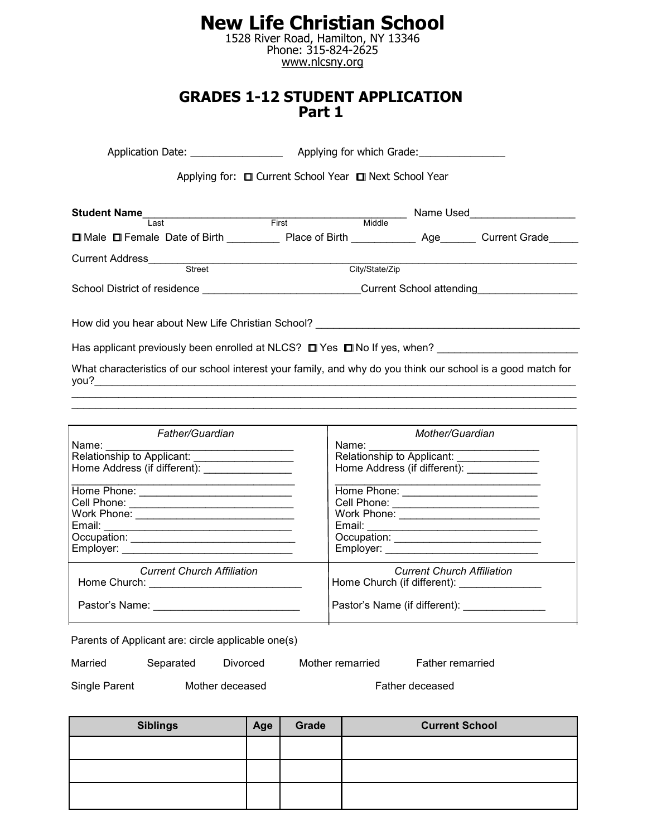1528 River Road, Hamilton, NY 13346 Phone: 315-824-2625 www.nlcsny.org

#### **GRADES 1-12 STUDENT APPLICATION Part 1**

|                                                                                                                      | Applying for: □ Current School Year □ Next School Year |                |                               |
|----------------------------------------------------------------------------------------------------------------------|--------------------------------------------------------|----------------|-------------------------------|
| Student Name<br>Last First Middle                                                                                    |                                                        |                | Name Used____________________ |
| □ Male □ Female Date of Birth _____________ Place of Birth ______________ Age_______ Current Grade______             |                                                        |                |                               |
|                                                                                                                      |                                                        | City/State/Zip |                               |
| School District of residence expansion of the control of the Current School attending                                |                                                        |                |                               |
| How did you hear about New Life Christian School? ______________________________                                     |                                                        |                |                               |
| Has applicant previously been enrolled at NLCS? $\square$ Yes $\square$ No If yes, when?                             |                                                        |                |                               |
| What characteristics of our school interest your family, and why do you think our school is a good match for<br>you? |                                                        |                |                               |

| Father/Guardian                                                             | Mother/Guardian                               |
|-----------------------------------------------------------------------------|-----------------------------------------------|
| Name: <u>_____________________________</u>                                  | Name:                                         |
| Relationship to Applicant:<br>Home Address (if different): ________________ |                                               |
|                                                                             |                                               |
|                                                                             | Cell Phone: _____________________________     |
|                                                                             | Work Phone: ______________________________    |
|                                                                             |                                               |
|                                                                             |                                               |
|                                                                             |                                               |
| <b>Current Church Affiliation</b>                                           | <b>Current Church Affiliation</b>             |
| Home Church: <u>_________________________________</u>                       | Home Church (if different): _________________ |
| Pastor's Name:                                                              | Pastor's Name (if different): _______________ |

 $\mathcal{L}_\mathcal{L} = \{ \mathcal{L}_\mathcal{L} = \{ \mathcal{L}_\mathcal{L} = \{ \mathcal{L}_\mathcal{L} = \{ \mathcal{L}_\mathcal{L} = \{ \mathcal{L}_\mathcal{L} = \{ \mathcal{L}_\mathcal{L} = \{ \mathcal{L}_\mathcal{L} = \{ \mathcal{L}_\mathcal{L} = \{ \mathcal{L}_\mathcal{L} = \{ \mathcal{L}_\mathcal{L} = \{ \mathcal{L}_\mathcal{L} = \{ \mathcal{L}_\mathcal{L} = \{ \mathcal{L}_\mathcal{L} = \{ \mathcal{L}_\mathcal{$ 

Parents of Applicant are: circle applicable one(s)

Married Separated Divorced Mother remarried Father remarried

Single Parent Mother deceased Father deceased

| <b>Siblings</b> | Age | Grade | <b>Current School</b> |
|-----------------|-----|-------|-----------------------|
|                 |     |       |                       |
|                 |     |       |                       |
|                 |     |       |                       |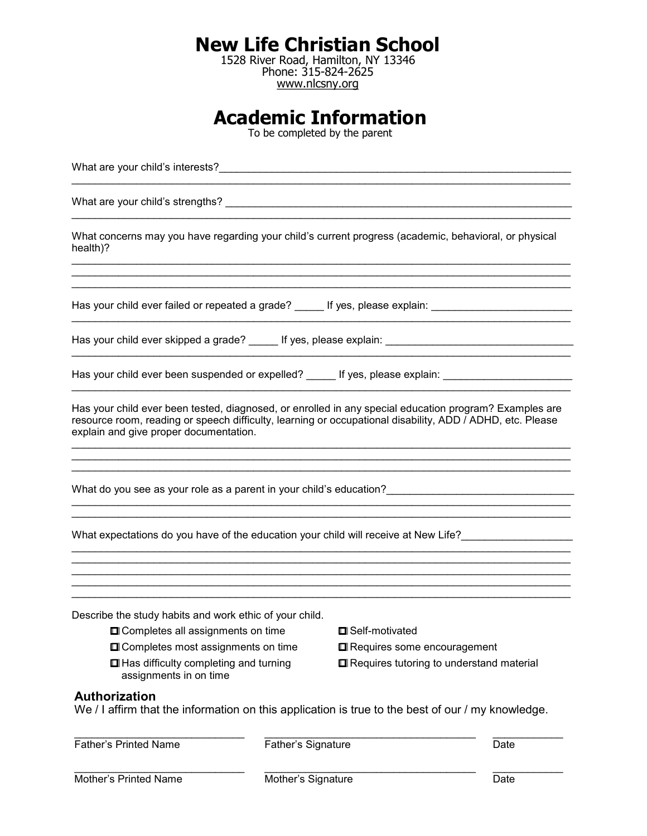1528 River Road, Hamilton, NY 13346 Phone: 315-824-2625 www.nlcsny.org

# **Academic Information**

To be completed by the parent

What are your child's interests?\_\_\_\_\_\_\_\_\_\_\_\_\_\_\_\_\_\_\_\_\_\_\_\_\_\_\_\_\_\_\_\_\_\_\_\_\_\_\_\_\_\_\_\_\_\_\_\_\_\_\_\_\_\_\_\_\_\_\_\_ What are your child's strengths? \_\_\_\_\_\_\_\_\_\_\_\_\_\_\_\_\_\_\_\_\_\_\_\_\_\_\_\_\_\_\_\_\_\_\_\_\_\_\_\_\_\_\_\_\_\_\_\_\_\_\_\_\_\_\_\_\_\_\_ \_\_\_\_\_\_\_\_\_\_\_\_\_\_\_\_\_\_\_\_\_\_\_\_\_\_\_\_\_\_\_\_\_\_\_\_\_\_\_\_\_\_\_\_\_\_\_\_\_\_\_\_\_\_\_\_\_\_\_\_\_\_\_\_\_\_\_\_\_\_\_\_\_\_\_\_\_\_\_\_\_\_\_\_\_ What concerns may you have regarding your child's current progress (academic, behavioral, or physical health)? \_\_\_\_\_\_\_\_\_\_\_\_\_\_\_\_\_\_\_\_\_\_\_\_\_\_\_\_\_\_\_\_\_\_\_\_\_\_\_\_\_\_\_\_\_\_\_\_\_\_\_\_\_\_\_\_\_\_\_\_\_\_\_\_\_\_\_\_\_\_\_\_\_\_\_\_\_\_\_\_\_\_\_\_\_ \_\_\_\_\_\_\_\_\_\_\_\_\_\_\_\_\_\_\_\_\_\_\_\_\_\_\_\_\_\_\_\_\_\_\_\_\_\_\_\_\_\_\_\_\_\_\_\_\_\_\_\_\_\_\_\_\_\_\_\_\_\_\_\_\_\_\_\_\_\_\_\_\_\_\_\_\_\_\_\_\_\_\_\_\_ Has your child ever failed or repeated a grade? \_\_\_\_\_ If yes, please explain: \_\_\_\_\_\_\_\_\_\_\_\_\_\_\_\_\_\_\_\_\_ Has your child ever skipped a grade? \_\_\_\_\_ If yes, please explain: \_\_\_\_\_\_\_\_\_\_\_\_\_\_\_\_\_\_\_\_\_\_\_\_\_\_\_\_\_\_\_\_ \_\_\_\_\_\_\_\_\_\_\_\_\_\_\_\_\_\_\_\_\_\_\_\_\_\_\_\_\_\_\_\_\_\_\_\_\_\_\_\_\_\_\_\_\_\_\_\_\_\_\_\_\_\_\_\_\_\_\_\_\_\_\_\_\_\_\_\_\_\_\_\_\_\_\_\_\_\_\_\_\_\_\_\_\_ Has your child ever been suspended or expelled? If yes, please explain: Has your child ever been tested, diagnosed, or enrolled in any special education program? Examples are resource room, reading or speech difficulty, learning or occupational disability, ADD / ADHD, etc. Please explain and give proper documentation.  $\mathcal{L}_\mathcal{L} = \{ \mathcal{L}_\mathcal{L} = \{ \mathcal{L}_\mathcal{L} = \{ \mathcal{L}_\mathcal{L} = \{ \mathcal{L}_\mathcal{L} = \{ \mathcal{L}_\mathcal{L} = \{ \mathcal{L}_\mathcal{L} = \{ \mathcal{L}_\mathcal{L} = \{ \mathcal{L}_\mathcal{L} = \{ \mathcal{L}_\mathcal{L} = \{ \mathcal{L}_\mathcal{L} = \{ \mathcal{L}_\mathcal{L} = \{ \mathcal{L}_\mathcal{L} = \{ \mathcal{L}_\mathcal{L} = \{ \mathcal{L}_\mathcal{$ What do you see as your role as a parent in your child's education?  $\mathcal{L}_\mathcal{L} = \{ \mathcal{L}_\mathcal{L} = \{ \mathcal{L}_\mathcal{L} = \{ \mathcal{L}_\mathcal{L} = \{ \mathcal{L}_\mathcal{L} = \{ \mathcal{L}_\mathcal{L} = \{ \mathcal{L}_\mathcal{L} = \{ \mathcal{L}_\mathcal{L} = \{ \mathcal{L}_\mathcal{L} = \{ \mathcal{L}_\mathcal{L} = \{ \mathcal{L}_\mathcal{L} = \{ \mathcal{L}_\mathcal{L} = \{ \mathcal{L}_\mathcal{L} = \{ \mathcal{L}_\mathcal{L} = \{ \mathcal{L}_\mathcal{$ What expectations do you have of the education your child will receive at New Life?  $\mathcal{L}_\mathcal{L} = \{ \mathcal{L}_\mathcal{L} = \{ \mathcal{L}_\mathcal{L} = \{ \mathcal{L}_\mathcal{L} = \{ \mathcal{L}_\mathcal{L} = \{ \mathcal{L}_\mathcal{L} = \{ \mathcal{L}_\mathcal{L} = \{ \mathcal{L}_\mathcal{L} = \{ \mathcal{L}_\mathcal{L} = \{ \mathcal{L}_\mathcal{L} = \{ \mathcal{L}_\mathcal{L} = \{ \mathcal{L}_\mathcal{L} = \{ \mathcal{L}_\mathcal{L} = \{ \mathcal{L}_\mathcal{L} = \{ \mathcal{L}_\mathcal{$ \_\_\_\_\_\_\_\_\_\_\_\_\_\_\_\_\_\_\_\_\_\_\_\_\_\_\_\_\_\_\_\_\_\_\_\_\_\_\_\_\_\_\_\_\_\_\_\_\_\_\_\_\_\_\_\_\_\_\_\_\_\_\_\_\_\_\_\_\_\_\_\_\_\_\_\_\_\_\_\_\_\_\_\_\_ Describe the study habits and work ethic of your child.  $\square$  Completes all assignments on time  $\square$  Self-motivated  $\Box$  Completes most assignments on time  $\Box$  Requires some encouragement  $\Box$  Has difficulty completing and turning  $\Box$  Requires tutoring to understand material assignments in on time **Authorization** We / I affirm that the information on this application is true to the best of our / my knowledge.  $\mathcal{L}_\mathcal{L} = \mathcal{L}_\mathcal{L} = \mathcal{L}_\mathcal{L} = \mathcal{L}_\mathcal{L} = \mathcal{L}_\mathcal{L} = \mathcal{L}_\mathcal{L} = \mathcal{L}_\mathcal{L} = \mathcal{L}_\mathcal{L} = \mathcal{L}_\mathcal{L} = \mathcal{L}_\mathcal{L} = \mathcal{L}_\mathcal{L} = \mathcal{L}_\mathcal{L} = \mathcal{L}_\mathcal{L} = \mathcal{L}_\mathcal{L} = \mathcal{L}_\mathcal{L} = \mathcal{L}_\mathcal{L} = \mathcal{L}_\mathcal{L}$ Father's Printed Name Father's Signature Date Date Mother's Printed Name Mother's Signature Date Date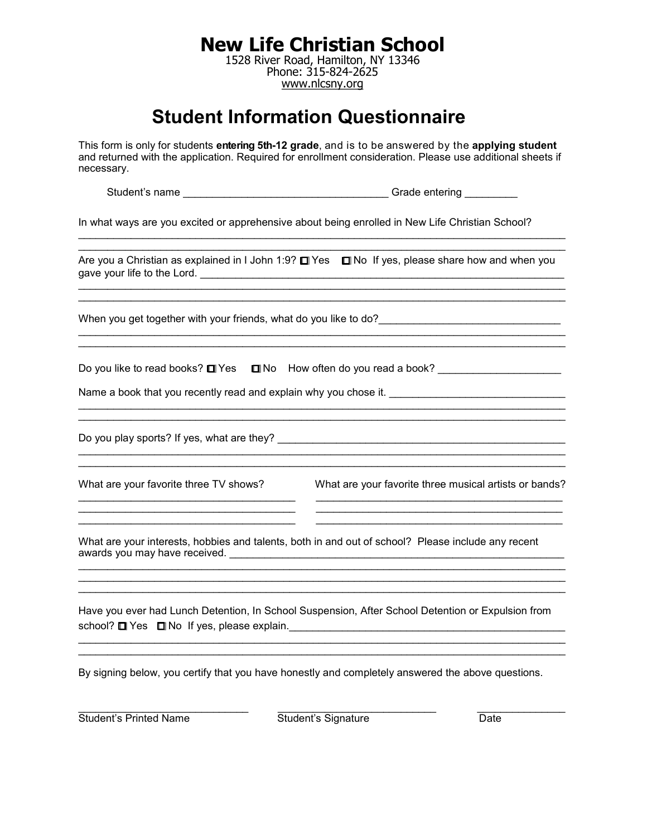1528 River Road, Hamilton, NY 13346 Phone: 315-824-2625 www.nlcsny.org

# **Student Information Questionnaire**

This form is only for students **entering 5th-12 grade**, and is to be answered by the **applying student**  and returned with the application. Required for enrollment consideration. Please use additional sheets if necessary.

Student's name \_\_\_\_\_\_\_\_\_\_\_\_\_\_\_\_\_\_\_\_\_\_\_\_\_\_\_\_\_\_\_\_\_\_\_ Grade entering \_\_\_\_\_\_\_\_\_

In what ways are you excited or apprehensive about being enrolled in New Life Christian School?

|                                        | Are you a Christian as explained in I John 1:9? $\Box$ Yes $\Box$ No If yes, please share how and when you                                                                                     |
|----------------------------------------|------------------------------------------------------------------------------------------------------------------------------------------------------------------------------------------------|
|                                        |                                                                                                                                                                                                |
|                                        | Do you like to read books? □ Yes □ No How often do you read a book? ___________________<br>Name a book that you recently read and explain why you chose it. __________________________________ |
|                                        |                                                                                                                                                                                                |
| What are your favorite three TV shows? | What are your favorite three musical artists or bands?                                                                                                                                         |
|                                        | What are your interests, hobbies and talents, both in and out of school? Please include any recent                                                                                             |
|                                        | Have you ever had Lunch Detention, In School Suspension, After School Detention or Expulsion from                                                                                              |
|                                        |                                                                                                                                                                                                |

By signing below, you certify that you have honestly and completely answered the above questions.

Student's Printed Name Student's Signature Date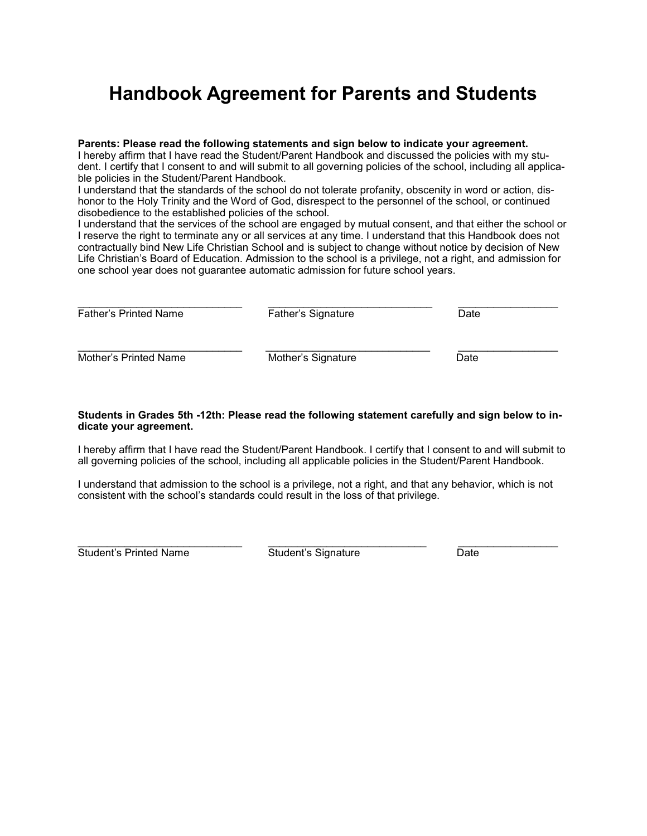# **Handbook Agreement for Parents and Students**

#### **Parents: Please read the following statements and sign below to indicate your agreement.**

I hereby affirm that I have read the Student/Parent Handbook and discussed the policies with my student. I certify that I consent to and will submit to all governing policies of the school, including all applicable policies in the Student/Parent Handbook.

I understand that the standards of the school do not tolerate profanity, obscenity in word or action, dishonor to the Holy Trinity and the Word of God, disrespect to the personnel of the school, or continued disobedience to the established policies of the school.

I understand that the services of the school are engaged by mutual consent, and that either the school or I reserve the right to terminate any or all services at any time. I understand that this Handbook does not contractually bind New Life Christian School and is subject to change without notice by decision of New Life Christian's Board of Education. Admission to the school is a privilege, not a right, and admission for one school year does not guarantee automatic admission for future school years.

| <b>Father's Printed Name</b> | Father's Signature | Date |  |  |
|------------------------------|--------------------|------|--|--|
| Mother's Printed Name        | Mother's Signature | Date |  |  |

#### **Students in Grades 5th -12th: Please read the following statement carefully and sign below to indicate your agreement.**

I hereby affirm that I have read the Student/Parent Handbook. I certify that I consent to and will submit to all governing policies of the school, including all applicable policies in the Student/Parent Handbook.

I understand that admission to the school is a privilege, not a right, and that any behavior, which is not consistent with the school's standards could result in the loss of that privilege.

Student's Printed Name **Student's Signature** Date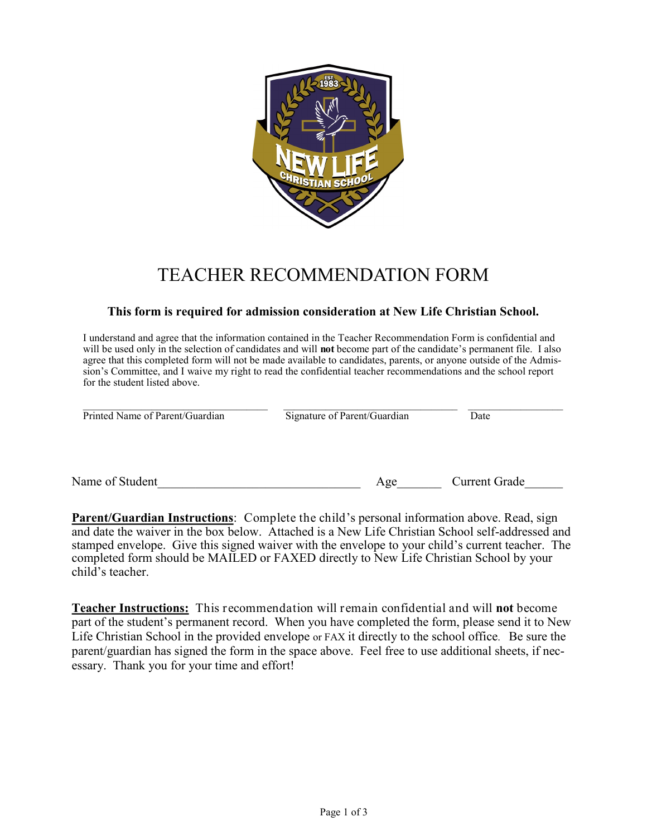

### TEACHER RECOMMENDATION FORM

#### **This form is required for admission consideration at New Life Christian School.**

I understand and agree that the information contained in the Teacher Recommendation Form is confidential and will be used only in the selection of candidates and will **not** become part of the candidate's permanent file. I also agree that this completed form will not be made available to candidates, parents, or anyone outside of the Admission's Committee, and I waive my right to read the confidential teacher recommendations and the school report for the student listed above.

| Printed Name of Parent/Guardian | Signature of Parent/Guardian | Date          |
|---------------------------------|------------------------------|---------------|
|                                 |                              |               |
| Name of Student                 | Age                          | Current Grade |

**Parent/Guardian Instructions**: Complete the child's personal information above. Read, sign and date the waiver in the box below. Attached is a New Life Christian School self-addressed and stamped envelope. Give this signed waiver with the envelope to your child's current teacher. The completed form should be MAILED or FAXED directly to New Life Christian School by your child's teacher.

**Teacher Instructions:** This recommendation will remain confidential and will **not** become part of the student's permanent record. When you have completed the form, please send it to New Life Christian School in the provided envelope or FAX it directly to the school office. Be sure the parent/guardian has signed the form in the space above. Feel free to use additional sheets, if necessary. Thank you for your time and effort!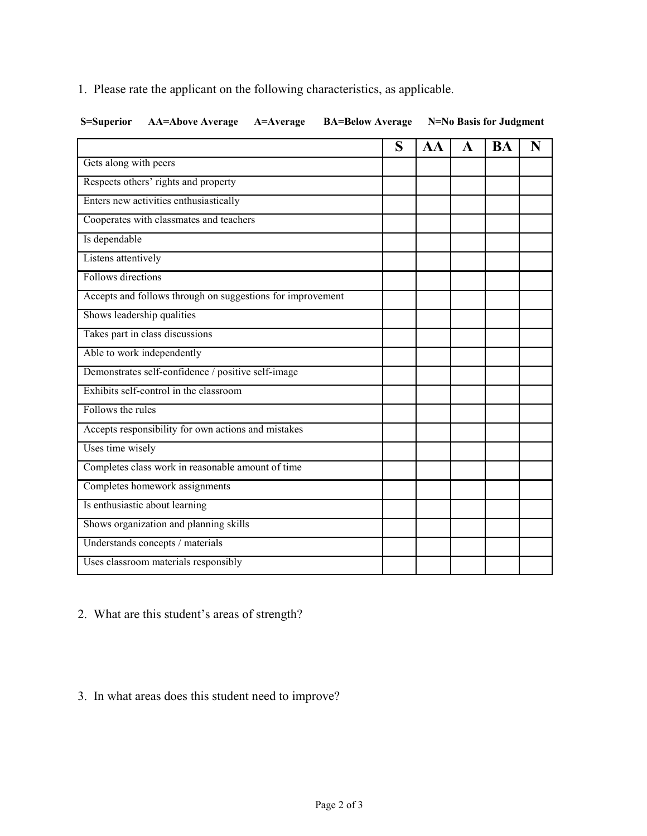1. Please rate the applicant on the following characteristics, as applicable.

|  |  | S=Superior AA=Above Average A=Average BA=Below Average N=No Basis for Judgment |
|--|--|--------------------------------------------------------------------------------|

|                                                            | S | AA | A | BA | N |
|------------------------------------------------------------|---|----|---|----|---|
| Gets along with peers                                      |   |    |   |    |   |
| Respects others' rights and property                       |   |    |   |    |   |
| Enters new activities enthusiastically                     |   |    |   |    |   |
| Cooperates with classmates and teachers                    |   |    |   |    |   |
| Is dependable                                              |   |    |   |    |   |
| Listens attentively                                        |   |    |   |    |   |
| Follows directions                                         |   |    |   |    |   |
| Accepts and follows through on suggestions for improvement |   |    |   |    |   |
| Shows leadership qualities                                 |   |    |   |    |   |
| Takes part in class discussions                            |   |    |   |    |   |
| Able to work independently                                 |   |    |   |    |   |
| Demonstrates self-confidence / positive self-image         |   |    |   |    |   |
| Exhibits self-control in the classroom                     |   |    |   |    |   |
| Follows the rules                                          |   |    |   |    |   |
| Accepts responsibility for own actions and mistakes        |   |    |   |    |   |
| Uses time wisely                                           |   |    |   |    |   |
| Completes class work in reasonable amount of time          |   |    |   |    |   |
| Completes homework assignments                             |   |    |   |    |   |
| Is enthusiastic about learning                             |   |    |   |    |   |
| Shows organization and planning skills                     |   |    |   |    |   |
| Understands concepts / materials                           |   |    |   |    |   |
| Uses classroom materials responsibly                       |   |    |   |    |   |

2. What are this student's areas of strength?

#### 3. In what areas does this student need to improve?